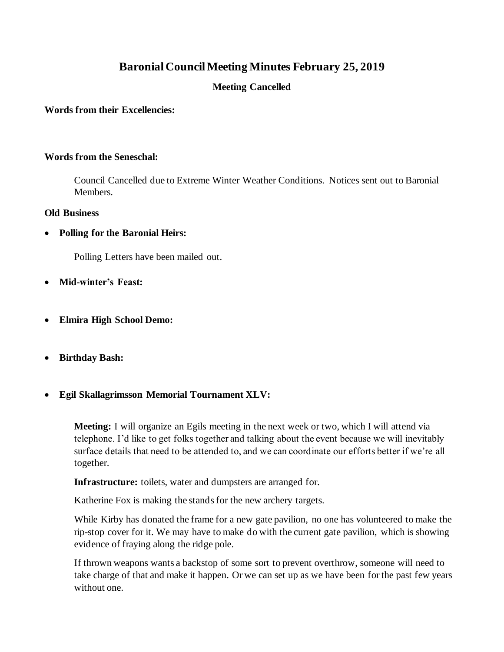# **Baronial Council Meeting Minutes February 25, 2019**

# **Meeting Cancelled**

#### **Words from their Excellencies:**

#### **Words from the Seneschal:**

Council Cancelled due to Extreme Winter Weather Conditions. Notices sent out to Baronial Members.

#### **Old Business**

• **Polling for the Baronial Heirs:**

Polling Letters have been mailed out.

- **Mid-winter's Feast:**
- **Elmira High School Demo:**
- **Birthday Bash:**
- **Egil Skallagrimsson Memorial Tournament XLV:**

**Meeting:** I will organize an Egils meeting in the next week or two, which I will attend via telephone. I'd like to get folks together and talking about the event because we will inevitably surface details that need to be attended to, and we can coordinate our efforts better if we're all together.

**Infrastructure:** toilets, water and dumpsters are arranged for.

Katherine Fox is making the stands for the new archery targets.

While Kirby has donated the frame for a new gate pavilion, no one has volunteered to make the rip-stop cover for it. We may have to make do with the current gate pavilion, which is showing evidence of fraying along the ridge pole.

If thrown weapons wants a backstop of some sort to prevent overthrow, someone will need to take charge of that and make it happen. Or we can set up as we have been for the past few years without one.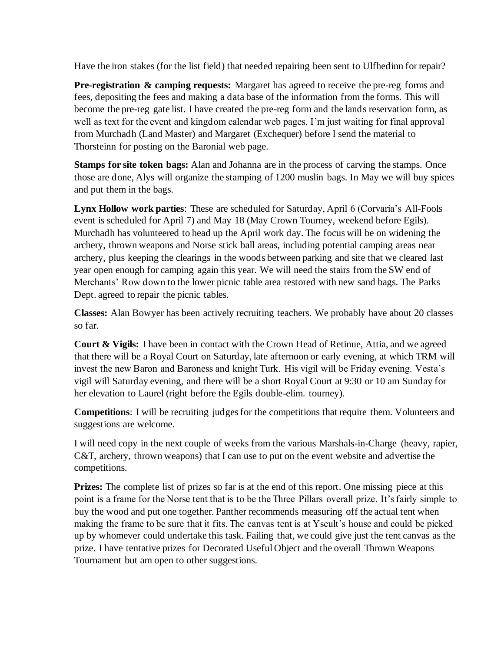Have the iron stakes (for the list field) that needed repairing been sent to Ulfhedinn for repair?

**Pre-registration & camping requests:** Margaret has agreed to receive the pre-reg forms and fees, depositing the fees and making a data base of the information from the forms. This will become the pre-reg gate list. I have created the pre-reg form and the lands reservation form, as well as text for the event and kingdom calendar web pages. I'm just waiting for final approval from Murchadh (Land Master) and Margaret (Exchequer) before I send the material to Thorsteinn for posting on the Baronial web page.

**Stamps for site token bags:** Alan and Johanna are in the process of carving the stamps. Once those are done, Alys will organize the stamping of 1200 muslin bags. In May we will buy spices and put them in the bags.

**Lynx Hollow work parties**: These are scheduled for Saturday, April 6 (Corvaria's All-Fools event is scheduled for April 7) and May 18 (May Crown Tourney, weekend before Egils). Murchadh has volunteered to head up the April work day. The focus will be on widening the archery, thrown weapons and Norse stick ball areas, including potential camping areas near archery, plus keeping the clearings in the woods between parking and site that we cleared last year open enough for camping again this year. We will need the stairs from the SW end of Merchants' Row down to the lower picnic table area restored with new sand bags. The Parks Dept. agreed to repair the picnic tables.

**Classes:** Alan Bowyer has been actively recruiting teachers. We probably have about 20 classes so far.

**Court & Vigils:** I have been in contact with the Crown Head of Retinue, Attia, and we agreed that there will be a Royal Court on Saturday, late afternoon or early evening, at which TRM will invest the new Baron and Baroness and knight Turk. His vigil will be Friday evening. Vesta's vigil will Saturday evening, and there will be a short Royal Court at 9:30 or 10 am Sunday for her elevation to Laurel (right before the Egils double-elim. tourney).

**Competitions**: I will be recruiting judges for the competitions that require them. Volunteers and suggestions are welcome.

I will need copy in the next couple of weeks from the various Marshals-in-Charge (heavy, rapier, C&T, archery, thrown weapons) that I can use to put on the event website and advertise the competitions.

**Prizes:** The complete list of prizes so far is at the end of this report. One missing piece at this point is a frame for the Norse tent that is to be the Three Pillars overall prize. It's fairly simple to buy the wood and put one together. Panther recommends measuring off the actual tent when making the frame to be sure that it fits. The canvas tent is at Yseult's house and could be picked up by whomever could undertake this task. Failing that, we could give just the tent canvas as the prize. I have tentative prizes for Decorated Useful Object and the overall Thrown Weapons Tournament but am open to other suggestions.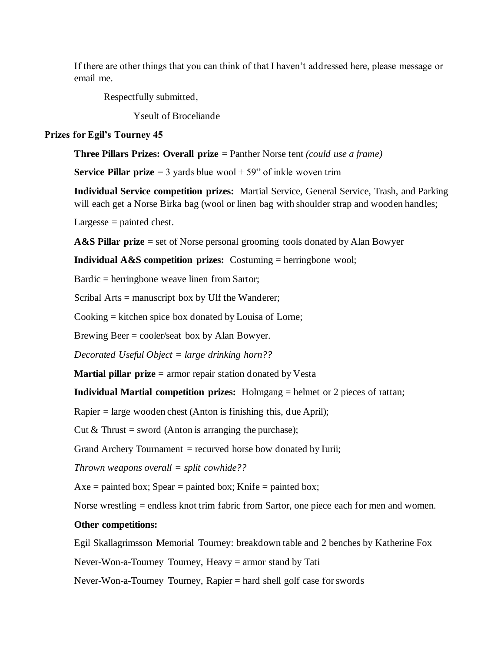If there are other things that you can think of that I haven't addressed here, please message or email me.

Respectfully submitted,

Yseult of Broceliande

#### **Prizes for Egil's Tourney 45**

**Three Pillars Prizes: Overall prize** = Panther Norse tent *(could use a frame)*

**Service Pillar prize**  $= 3$  yards blue wool  $+ 59$ " of inkle woven trim

**Individual Service competition prizes:** Martial Service, General Service, Trash, and Parking will each get a Norse Birka bag (wool or linen bag with shoulder strap and wooden handles;

Largesse  $=$  painted chest.

**A&S Pillar prize** = set of Norse personal grooming tools donated by Alan Bowyer

**Individual A&S competition prizes:** Costuming = herringbone wool;

Bardic = herringbone weave linen from Sartor;

Scribal Arts = manuscript box by Ulf the Wanderer;

Cooking = kitchen spice box donated by Louisa of Lorne;

Brewing Beer = cooler/seat box by Alan Bowyer.

*Decorated Useful Object = large drinking horn??*

**Martial pillar prize** = armor repair station donated by Vesta

**Individual Martial competition prizes:** Holmgang = helmet or 2 pieces of rattan;

Rapier = large wooden chest (Anton is finishing this, due April);

Cut  $&$  Thrust = sword (Anton is arranging the purchase);

Grand Archery Tournament  $=$  recurved horse bow donated by Iurii;

*Thrown weapons overall = split cowhide??*

 $Axe =$  painted box;  $Spear =$  painted box; Knife = painted box;

Norse wrestling = endless knot trim fabric from Sartor, one piece each for men and women.

## **Other competitions:**

Egil Skallagrimsson Memorial Tourney: breakdown table and 2 benches by Katherine Fox

Never-Won-a-Tourney Tourney, Heavy = armor stand by Tati

Never-Won-a-Tourney Tourney, Rapier = hard shell golf case for swords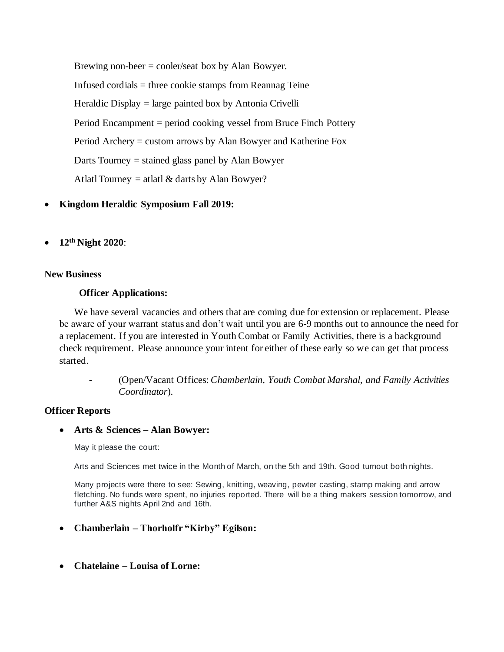Brewing non-beer = cooler/seat box by Alan Bowyer. Infused cordials = three cookie stamps from Reannag Teine Heraldic Display = large painted box by Antonia Crivelli Period Encampment = period cooking vessel from Bruce Finch Pottery Period Archery = custom arrows by Alan Bowyer and Katherine Fox Darts Tourney  $=$  stained glass panel by Alan Bowyer Atlatl Tourney = atlatl  $&$  darts by Alan Bowyer?

- **Kingdom Heraldic Symposium Fall 2019:**
- **12th Night 2020**:

## **New Business**

## **Officer Applications:**

We have several vacancies and others that are coming due for extension or replacement. Please be aware of your warrant status and don't wait until you are 6-9 months out to announce the need for a replacement. If you are interested in Youth Combat or Family Activities, there is a background check requirement. Please announce your intent for either of these early so we can get that process started.

**-** (Open/Vacant Offices: *Chamberlain*, *Youth Combat Marshal, and Family Activities Coordinator*).

#### **Officer Reports**

# • **Arts & Sciences – Alan Bowyer:**

May it please the court:

Arts and Sciences met twice in the Month of March, on the 5th and 19th. Good turnout both nights.

Many projects were there to see: Sewing, knitting, weaving, pewter casting, stamp making and arrow fletching. No funds were spent, no injuries reported. There will be a thing makers session tomorrow, and further A&S nights April 2nd and 16th.

- **Chamberlain – Thorholfr "Kirby" Egilson:**
- **Chatelaine – Louisa of Lorne:**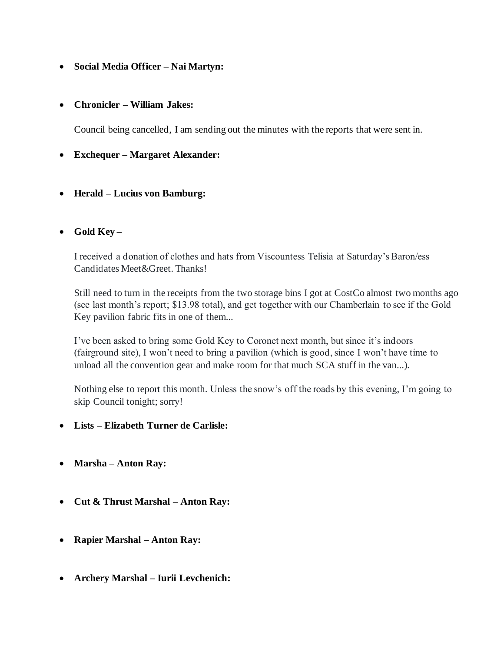# • **Social Media Officer – Nai Martyn:**

## • **Chronicler – William Jakes:**

Council being cancelled, I am sending out the minutes with the reports that were sent in.

## • **Exchequer – Margaret Alexander:**

• **Herald – Lucius von Bamburg:**

# • **Gold Key –**

I received a donation of clothes and hats from Viscountess Telisia at Saturday's Baron/ess Candidates Meet&Greet. Thanks!

Still need to turn in the receipts from the two storage bins I got at CostCo almost two months ago (see last month's report; \$13.98 total), and get together with our Chamberlain to see if the Gold Key pavilion fabric fits in one of them...

I've been asked to bring some Gold Key to Coronet next month, but since it's indoors (fairground site), I won't need to bring a pavilion (which is good, since I won't have time to unload all the convention gear and make room for that much SCA stuff in the van...).

Nothing else to report this month. Unless the snow's off the roads by this evening, I'm going to skip Council tonight; sorry!

- **Lists – Elizabeth Turner de Carlisle:**
- **Marsha – Anton Ray:**
- **Cut & Thrust Marshal – Anton Ray:**
- **Rapier Marshal – Anton Ray:**
- **Archery Marshal – Iurii Levchenich:**